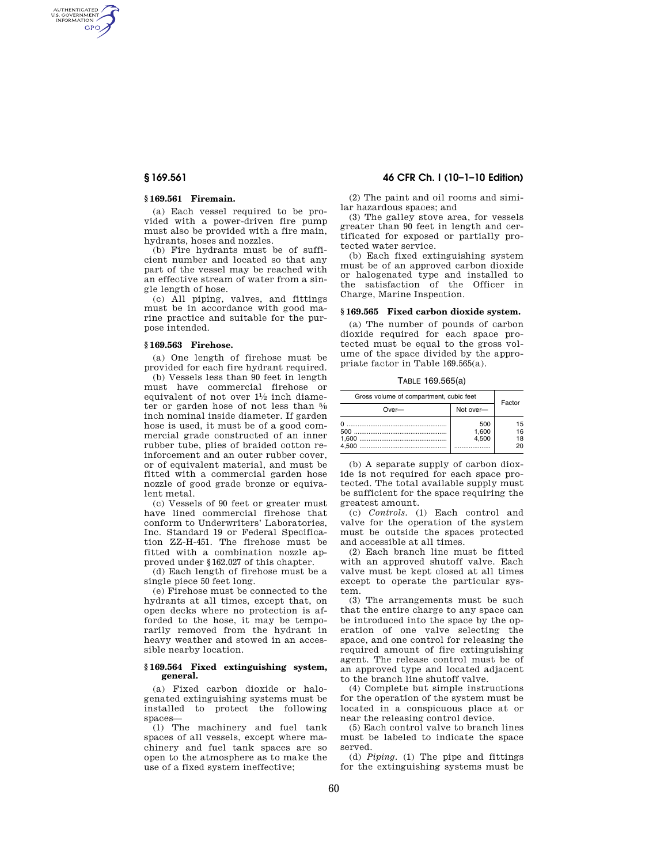AUTHENTICATED<br>U.S. GOVERNMENT<br>INFORMATION **GPO** 

## **§ 169.561 Firemain.**

(a) Each vessel required to be provided with a power-driven fire pump must also be provided with a fire main, hydrants, hoses and nozzles.

(b) Fire hydrants must be of sufficient number and located so that any part of the vessel may be reached with an effective stream of water from a single length of hose.

(c) All piping, valves, and fittings must be in accordance with good marine practice and suitable for the purpose intended.

### **§ 169.563 Firehose.**

(a) One length of firehose must be provided for each fire hydrant required.

(b) Vessels less than 90 feet in length must have commercial firehose or equivalent of not over 11⁄2 inch diameter or garden hose of not less than 5⁄8 inch nominal inside diameter. If garden hose is used, it must be of a good commercial grade constructed of an inner rubber tube, plies of braided cotton reinforcement and an outer rubber cover, or of equivalent material, and must be fitted with a commercial garden hose nozzle of good grade bronze or equivalent metal.

(c) Vessels of 90 feet or greater must have lined commercial firehose that conform to Underwriters' Laboratories, Inc. Standard 19 or Federal Specification ZZ-H-451. The firehose must be fitted with a combination nozzle approved under §162.027 of this chapter.

(d) Each length of firehose must be a single piece 50 feet long.

(e) Firehose must be connected to the hydrants at all times, except that, on open decks where no protection is afforded to the hose, it may be temporarily removed from the hydrant in heavy weather and stowed in an accessible nearby location.

## **§ 169.564 Fixed extinguishing system, general.**

(a) Fixed carbon dioxide or halogenated extinguishing systems must be installed to protect the following spaces—

(1) The machinery and fuel tank spaces of all vessels, except where machinery and fuel tank spaces are so open to the atmosphere as to make the use of a fixed system ineffective;

# **§ 169.561 46 CFR Ch. I (10–1–10 Edition)**

(2) The paint and oil rooms and similar hazardous spaces; and

(3) The galley stove area, for vessels greater than 90 feet in length and certificated for exposed or partially protected water service.

(b) Each fixed extinguishing system must be of an approved carbon dioxide or halogenated type and installed to the satisfaction of the Officer in Charge, Marine Inspection.

## **§ 169.565 Fixed carbon dioxide system.**

(a) The number of pounds of carbon dioxide required for each space protected must be equal to the gross volume of the space divided by the appropriate factor in Table 169.565(a).

TABLE 169.565(a)

| Gross volume of compartment, cubic feet | Factor                |                      |  |
|-----------------------------------------|-----------------------|----------------------|--|
| $Over-$                                 | Not over-             |                      |  |
| O<br>500<br>4.500                       | 500<br>1.600<br>4.500 | 15<br>16<br>18<br>20 |  |

(b) A separate supply of carbon dioxide is not required for each space protected. The total available supply must be sufficient for the space requiring the greatest amount.

(c) *Controls.* (1) Each control and valve for the operation of the system must be outside the spaces protected and accessible at all times.

(2) Each branch line must be fitted with an approved shutoff valve. Each valve must be kept closed at all times except to operate the particular system.

(3) The arrangements must be such that the entire charge to any space can be introduced into the space by the operation of one valve selecting the space, and one control for releasing the required amount of fire extinguishing agent. The release control must be of an approved type and located adjacent to the branch line shutoff valve.

(4) Complete but simple instructions for the operation of the system must be located in a conspicuous place at or near the releasing control device.

(5) Each control valve to branch lines must be labeled to indicate the space served.

(d) *Piping.* (1) The pipe and fittings for the extinguishing systems must be